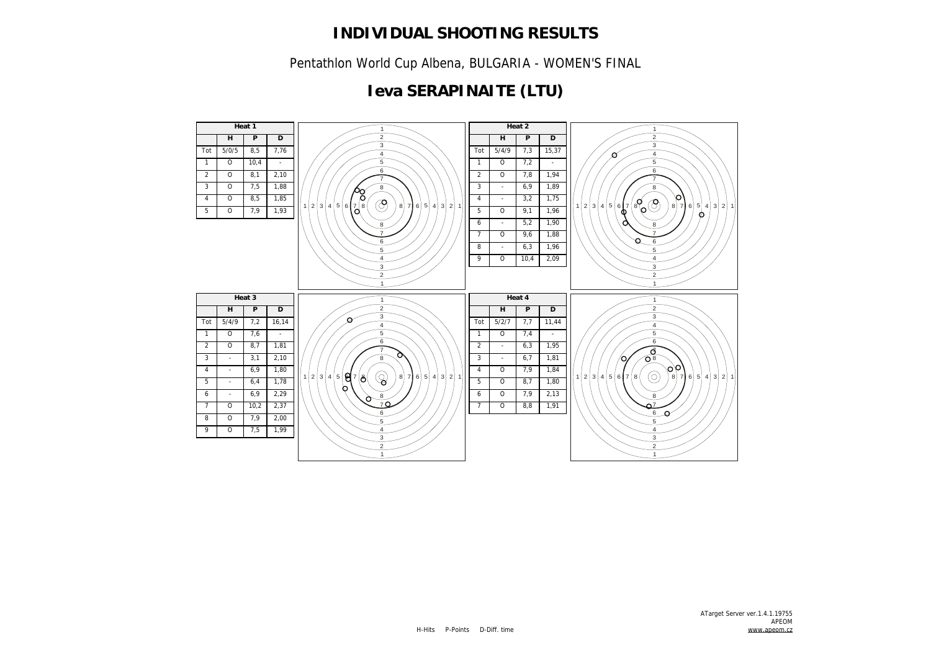Pentathlon World Cup Albena, BULGARIA - WOMEN'S FINAL

# **Ieva SERAPINAITE (LTU)**

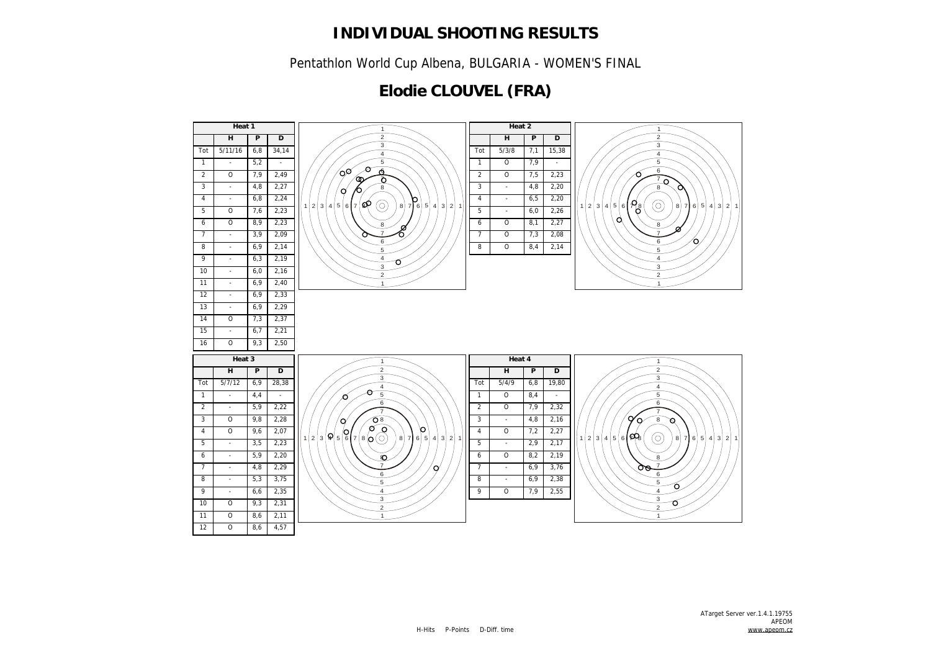Pentathlon World Cup Albena, BULGARIA - WOMEN'S FINAL

## **Elodie CLOUVEL (FRA)**

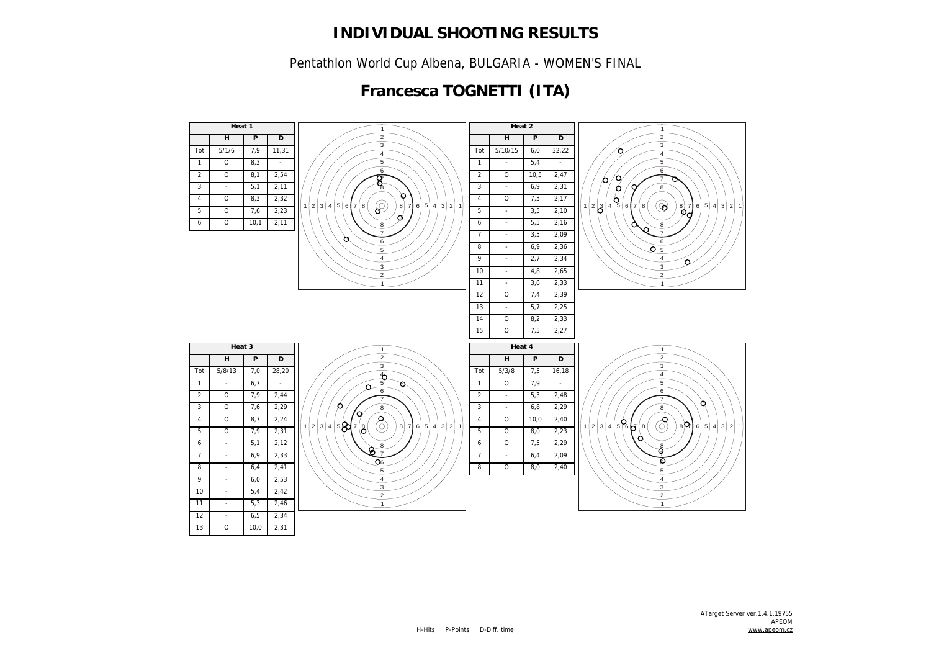Pentathlon World Cup Albena, BULGARIA - WOMEN'S FINAL

# **Francesca TOGNETTI (ITA)**

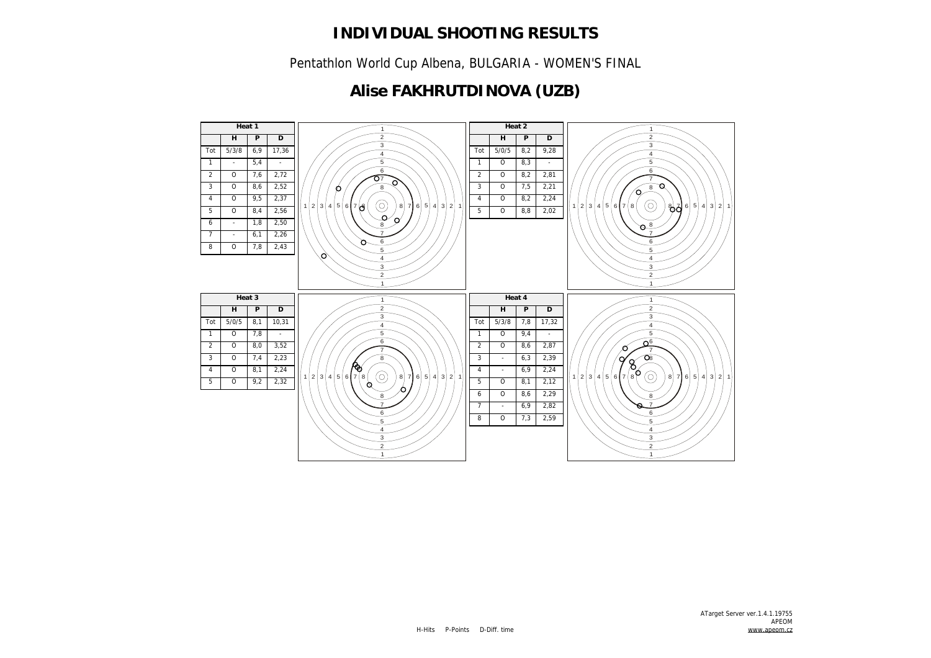Pentathlon World Cup Albena, BULGARIA - WOMEN'S FINAL

## **Alise FAKHRUTDINOVA (UZB)**

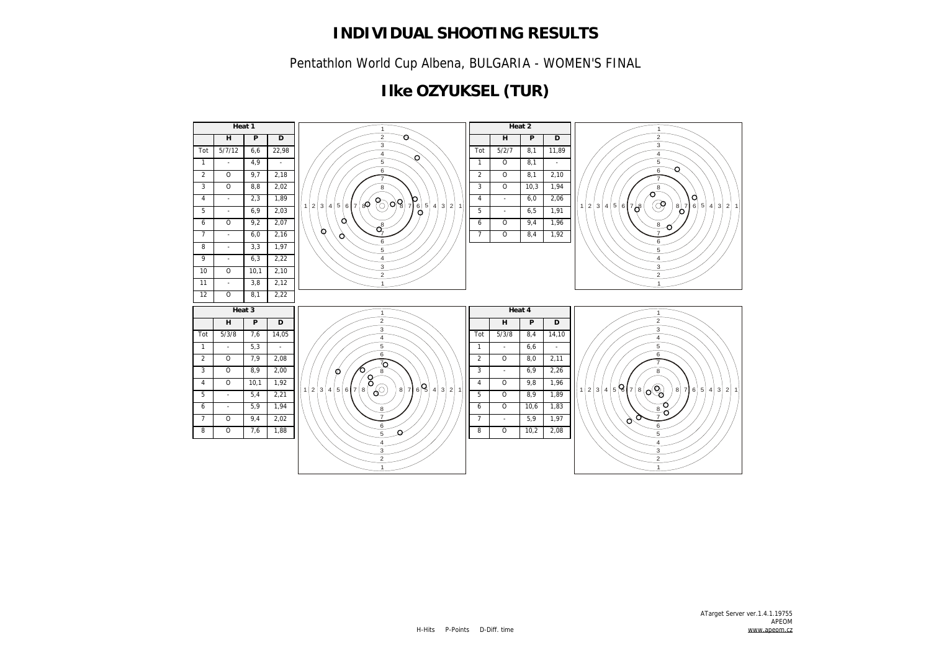Pentathlon World Cup Albena, BULGARIA - WOMEN'S FINAL

# **Ilke OZYUKSEL (TUR)**

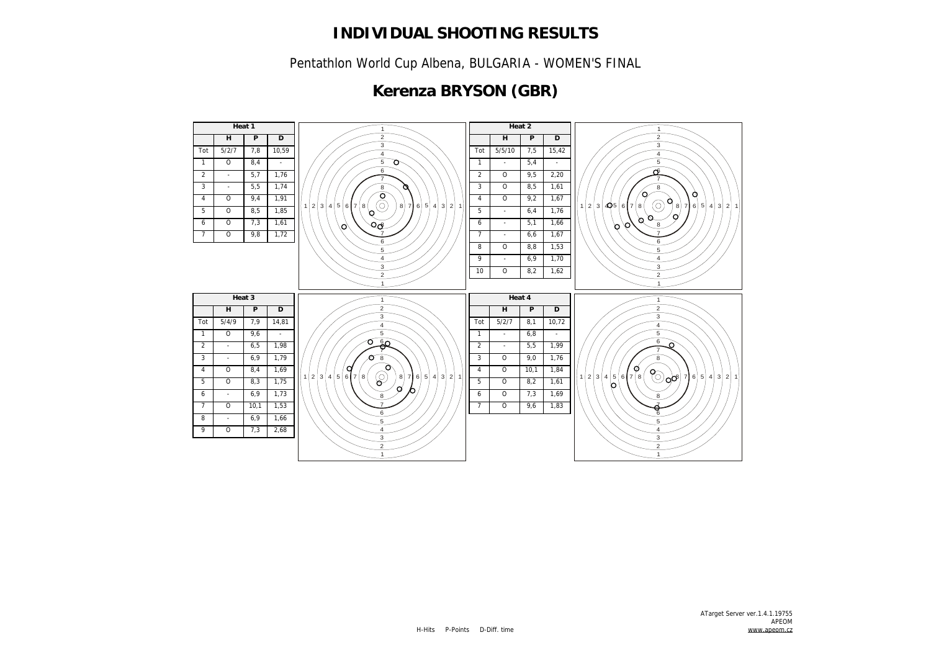Pentathlon World Cup Albena, BULGARIA - WOMEN'S FINAL

## **Kerenza BRYSON (GBR)**

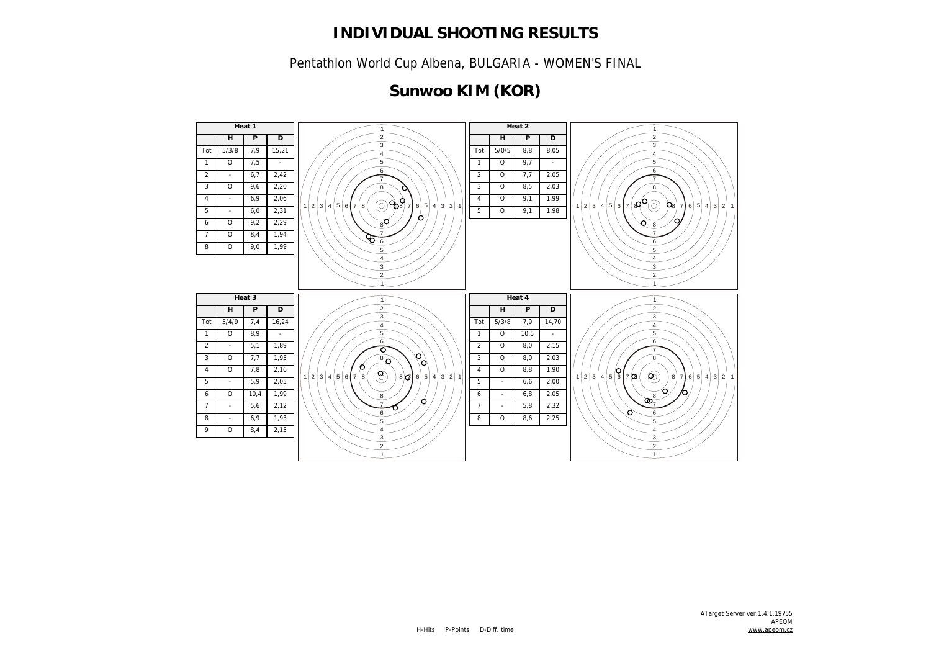Pentathlon World Cup Albena, BULGARIA - WOMEN'S FINAL

# **Sunwoo KIM (KOR)**

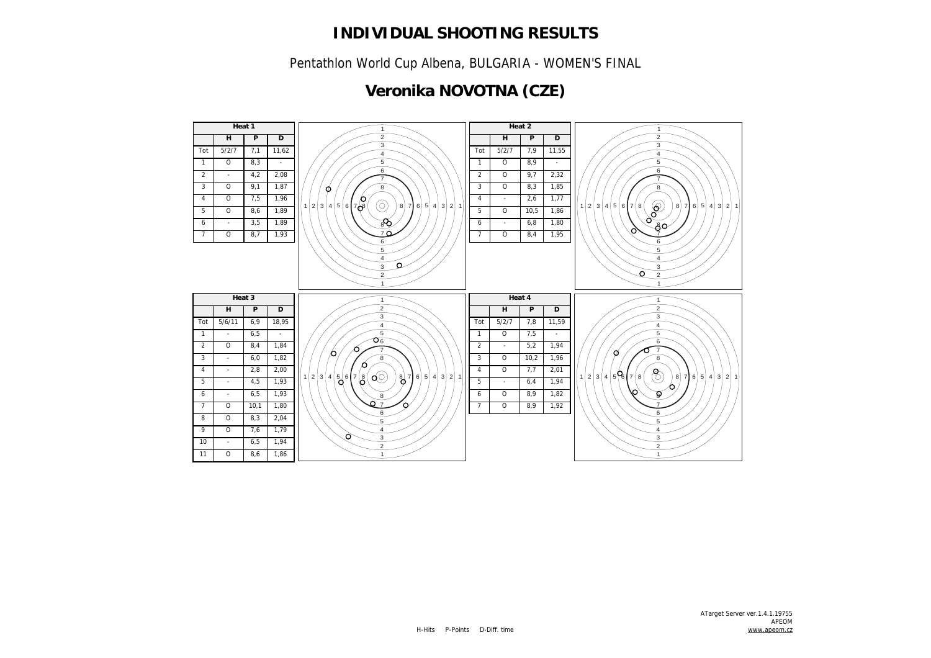Pentathlon World Cup Albena, BULGARIA - WOMEN'S FINAL

# **Veronika NOVOTNA (CZE)**

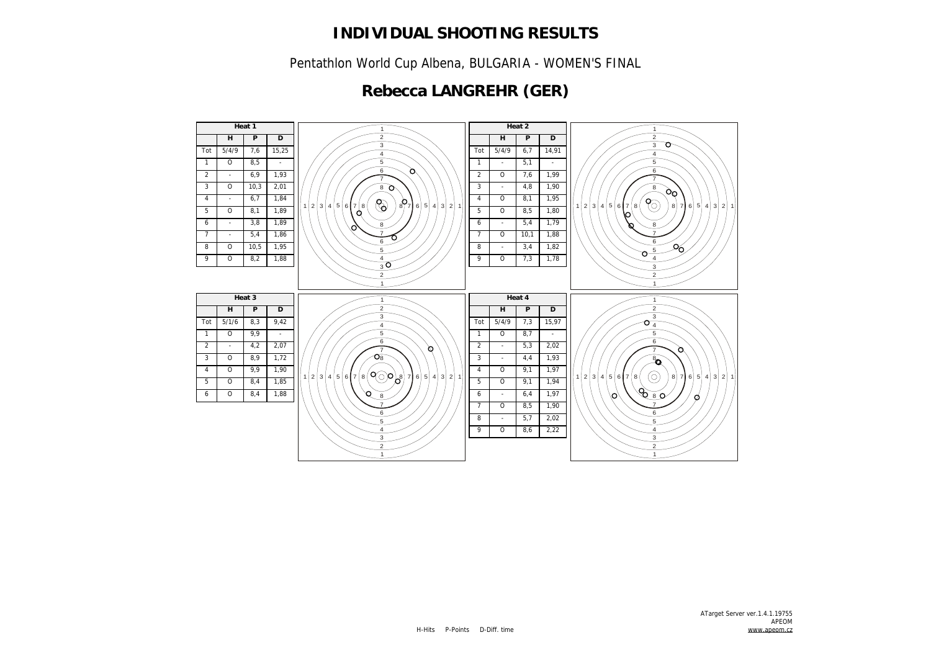Pentathlon World Cup Albena, BULGARIA - WOMEN'S FINAL

# **Rebecca LANGREHR (GER)**

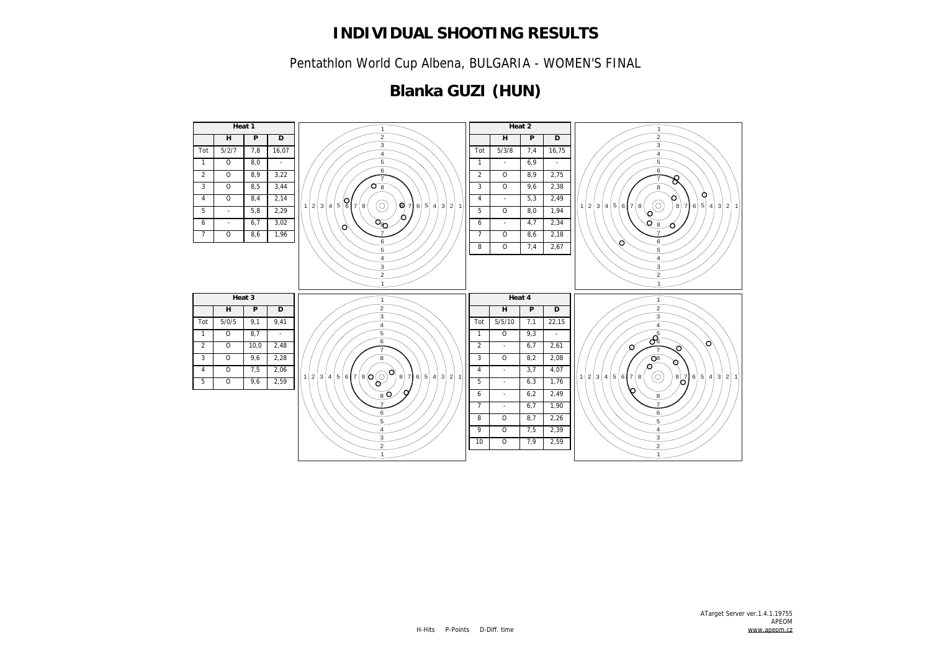Pentathlon World Cup Albena, BULGARIA - WOMEN'S FINAL

# **Blanka GUZI (HUN)**

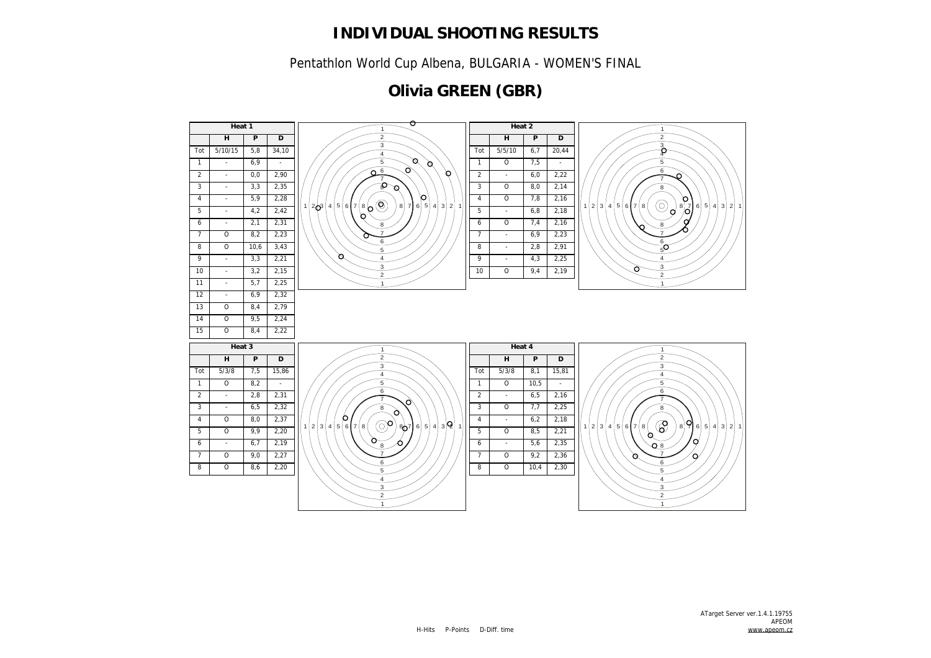Pentathlon World Cup Albena, BULGARIA - WOMEN'S FINAL

# **Olivia GREEN (GBR)**

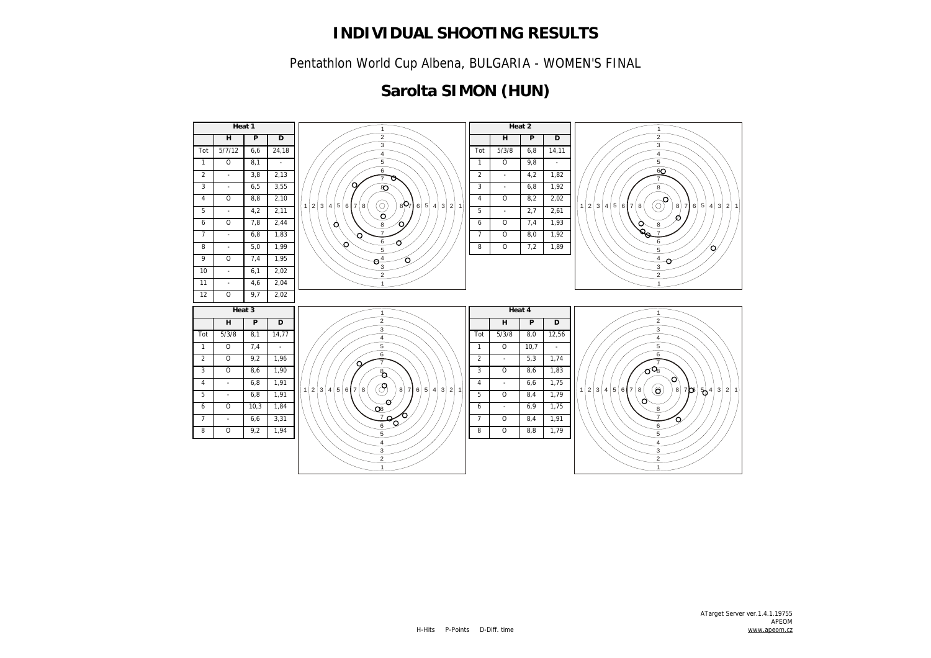Pentathlon World Cup Albena, BULGARIA - WOMEN'S FINAL

### **Sarolta SIMON (HUN)**

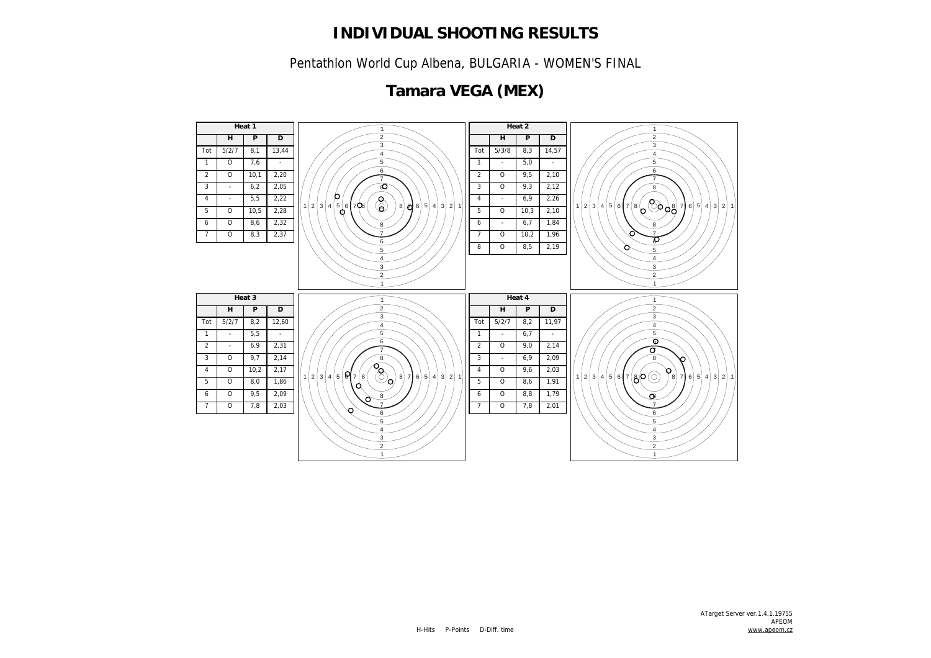Pentathlon World Cup Albena, BULGARIA - WOMEN'S FINAL

# **Tamara VEGA (MEX)**

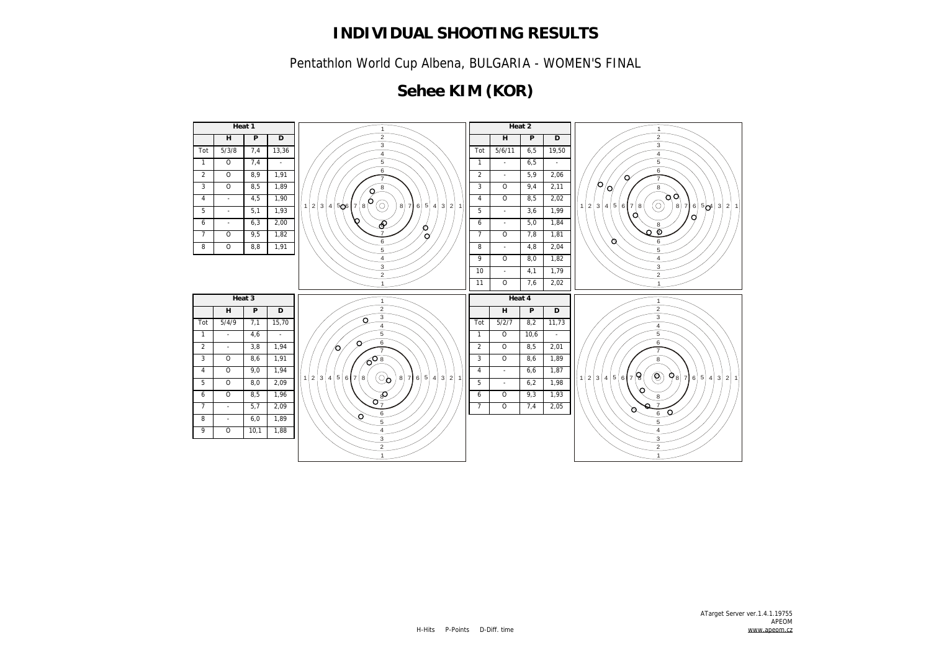Pentathlon World Cup Albena, BULGARIA - WOMEN'S FINAL

# **Sehee KIM (KOR)**

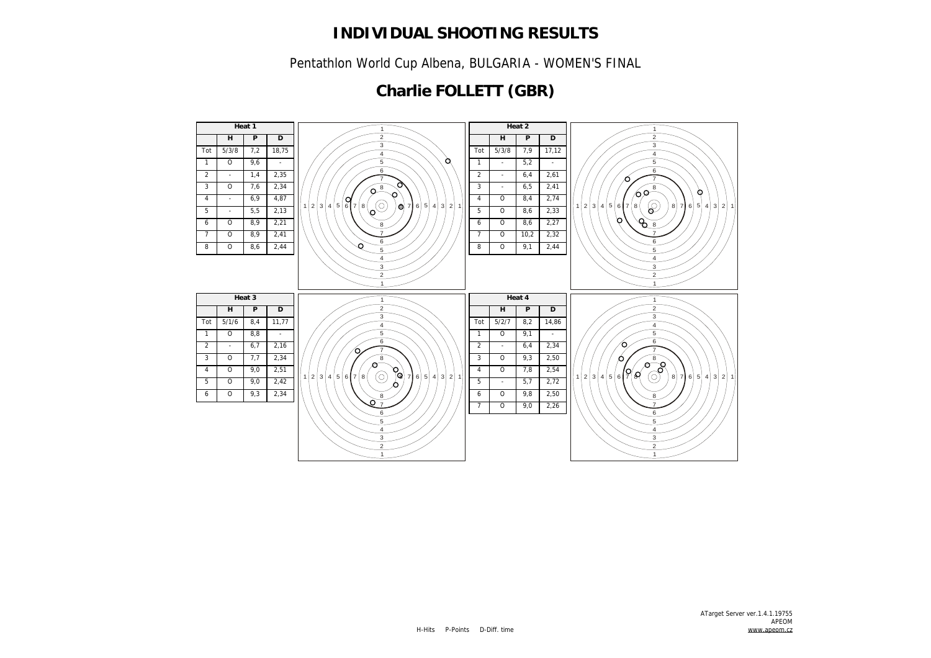Pentathlon World Cup Albena, BULGARIA - WOMEN'S FINAL

# **Charlie FOLLETT (GBR)**

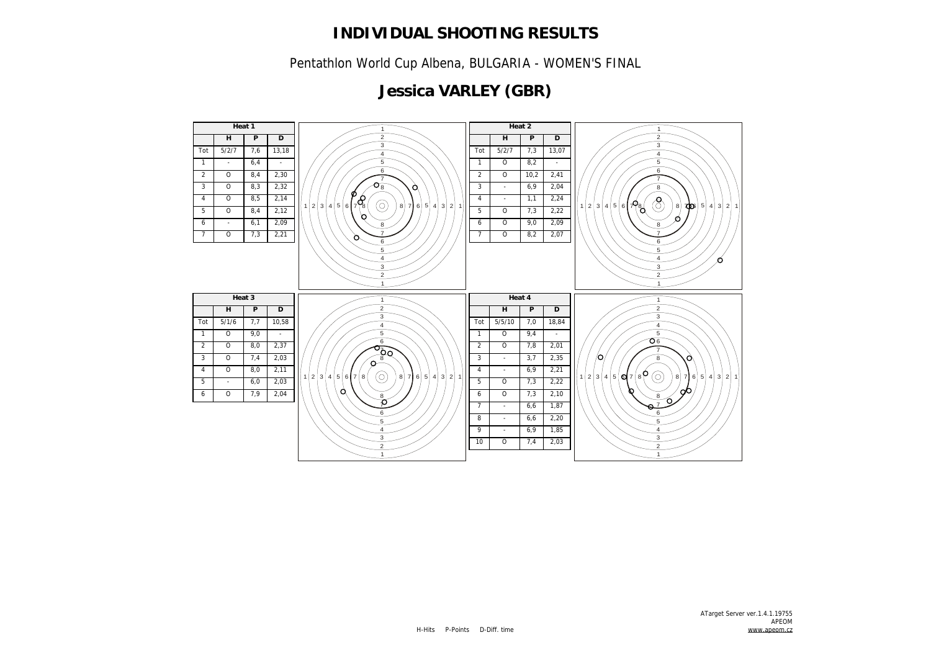Pentathlon World Cup Albena, BULGARIA - WOMEN'S FINAL

# **Jessica VARLEY (GBR)**

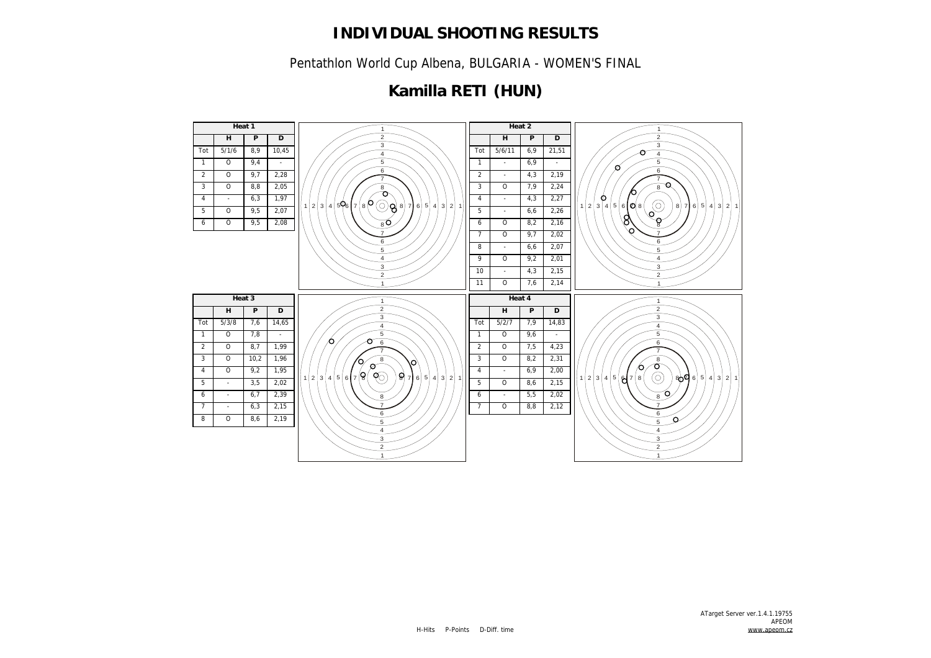Pentathlon World Cup Albena, BULGARIA - WOMEN'S FINAL

# **Kamilla RETI (HUN)**